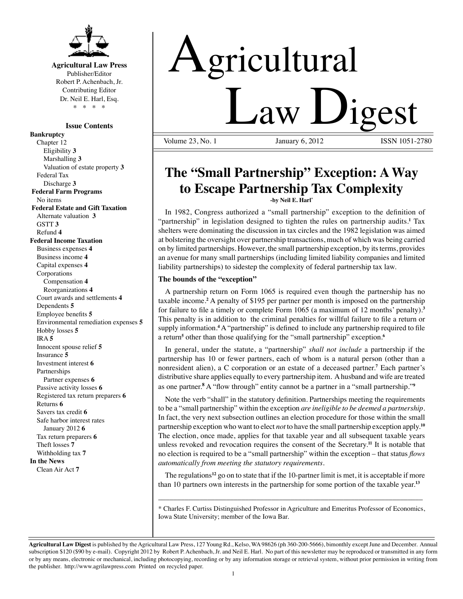

# **Agricultural Law Press** Publisher/Editor

Robert P. Achenbach, Jr. Contributing Editor Dr. Neil E. Harl, Esq. \* \* \* \*

# **Issue Contents**

**Bankruptcy** Chapter 12 Eligibility **3** Marshalling **3** Valuation of estate property **3** Federal Tax Discharge **3 Federal Farm Programs** No items  **Federal Estate and Gift Taxation** Alternate valuation **3** GSTT **3** Refund **4 Federal Income Taxation** Business expenses **4** Business income **4** Capital expenses **4** Corporations Compensation **4** Reorganizations **4** Court awards and settlements **4** Dependents **5** Employee benefits **5** Environmental remediation expenses **5** Hobby losses **5** IRA **5** Innocent spouse relief **5** Insurance **5** Investment interest **6** Partnerships Partner expenses **6** Passive activity losses **6** Registered tax return preparers **6** Returns **6** Savers tax credit **6** Safe harbor interest rates January 2012 **6** Tax return preparers **6** Theft losses **7** Withholding tax **7 In the News** Clean Air Act **7**

# Agricultural **Law Ligest**

January 6, 2012

# **The "Small Partnership" Exception: A Way to Escape Partnership Tax Complexity -by Neil E. Harl\***

 In 1982, Congress authorized a "small partnership" exception to the definition of "partnership" in legislation designed to tighten the rules on partnership audits.**<sup>1</sup>** Tax shelters were dominating the discussion in tax circles and the 1982 legislation was aimed at bolstering the oversight over partnership transactions, much of which was being carried on by limited partnerships. However, the small partnership exception, by its terms, provides an avenue for many small partnerships (including limited liability companies and limited liability partnerships) to sidestep the complexity of federal partnership tax law.

# **The bounds of the "exception"**

A partnership return on Form 1065 is required even though the partnership has no taxable income.<sup>2</sup> A penalty of \$195 per partner per month is imposed on the partnership for failure to file a timely or complete Form 1065 (a maximum of 12 months' penalty).**<sup>3</sup>** This penalty is in addition to the criminal penalties for willful failure to file a return or supply information.**<sup>4</sup>** A "partnership" is defined to include any partnership required to file a return<sup>5</sup> other than those qualifying for the "small partnership" exception.<sup>6</sup>

In general, under the statute, a "partnership" *shall not include* a partnership if the partnership has 10 or fewer partners, each of whom is a natural person (other than a nonresident alien), a C corporation or an estate of a deceased partner.**<sup>7</sup>** Each partner's distributive share applies equally to every partnership item. A husband and wife are treated as one partner.**<sup>8</sup>** A "flow through" entity cannot be a partner in a "small partnership."**<sup>9</sup>**

 Note the verb "shall" in the statutory definition. Partnerships meeting the requirements to be a "small partnership" within the exception *are ineligible to be deemed a partnership*. In fact, the very next subsection outlines an election procedure for those within the small partnership exception who want to elect *not* to have the small partnership exception apply.**<sup>10</sup>** The election, once made, applies for that taxable year and all subsequent taxable years unless revoked and revocation requires the consent of the Secretary.**<sup>11</sup>** It is notable that no election is required to be a "small partnership" within the exception – that status *flows automatically from meeting the statutory requirements.* 

The regulations**<sup>12</sup>** go on to state that if the 10-partner limit is met, it is acceptable if more than 10 partners own interests in the partnership for some portion of the taxable year.**<sup>13</sup>**

\_\_\_\_\_\_\_\_\_\_\_\_\_\_\_\_\_\_\_\_\_\_\_\_\_\_\_\_\_\_\_\_\_\_\_\_\_\_\_\_\_\_\_\_\_\_\_\_\_\_\_\_\_\_\_\_\_\_\_\_\_\_\_\_\_\_\_\_\_\_ \* Charles F. Curtiss Distinguished Professor in Agriculture and Emeritus Professor of Economics, Iowa State University; member of the Iowa Bar.

**Agricultural Law Digest** is published by the Agricultural Law Press, 127 Young Rd., Kelso, WA 98626 (ph 360-200-5666), bimonthly except June and December. Annual subscription \$120 (\$90 by e-mail). Copyright 2012 by Robert P. Achenbach, Jr. and Neil E. Harl. No part of this newsletter may be reproduced or transmitted in any form or by any means, electronic or mechanical, including photocopying, recording or by any information storage or retrieval system, without prior permission in writing from the publisher. http://www.agrilawpress.com Printed on recycled paper.